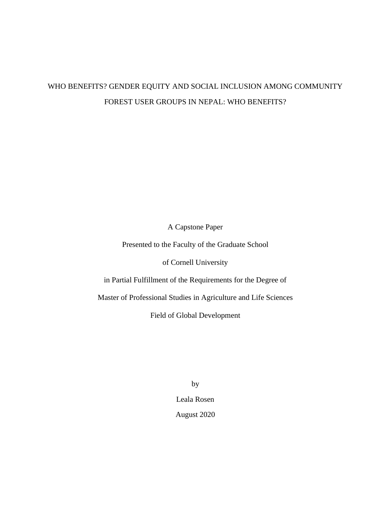# WHO BENEFITS? GENDER EQUITY AND SOCIAL INCLUSION AMONG COMMUNITY FOREST USER GROUPS IN NEPAL: WHO BENEFITS?

A Capstone Paper

Presented to the Faculty of the Graduate School

of Cornell University

in Partial Fulfillment of the Requirements for the Degree of

Master of Professional Studies in Agriculture and Life Sciences

Field of Global Development

by Leala Rosen August 2020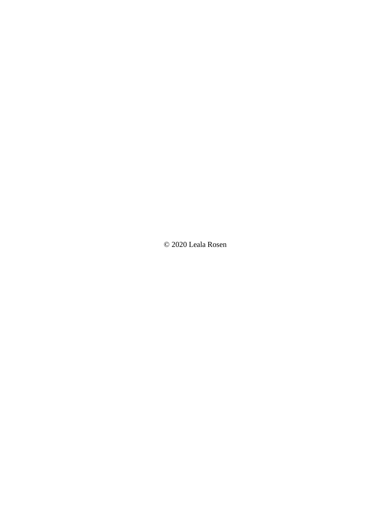© 2020 Leala Rosen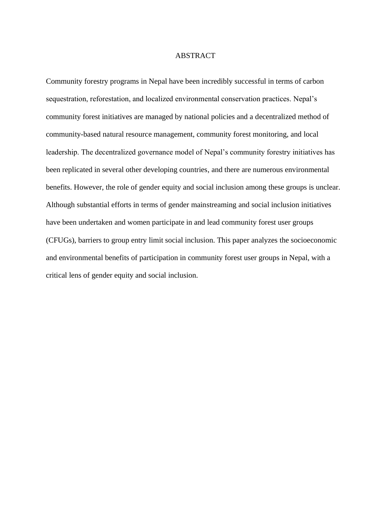## ABSTRACT

Community forestry programs in Nepal have been incredibly successful in terms of carbon sequestration, reforestation, and localized environmental conservation practices. Nepal's community forest initiatives are managed by national policies and a decentralized method of community-based natural resource management, community forest monitoring, and local leadership. The decentralized governance model of Nepal's community forestry initiatives has been replicated in several other developing countries, and there are numerous environmental benefits. However, the role of gender equity and social inclusion among these groups is unclear. Although substantial efforts in terms of gender mainstreaming and social inclusion initiatives have been undertaken and women participate in and lead community forest user groups (CFUGs), barriers to group entry limit social inclusion. This paper analyzes the socioeconomic and environmental benefits of participation in community forest user groups in Nepal, with a critical lens of gender equity and social inclusion.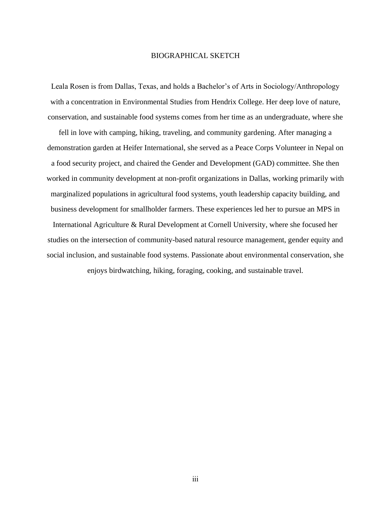## BIOGRAPHICAL SKETCH

Leala Rosen is from Dallas, Texas, and holds a Bachelor's of Arts in Sociology/Anthropology with a concentration in Environmental Studies from Hendrix College. Her deep love of nature, conservation, and sustainable food systems comes from her time as an undergraduate, where she

fell in love with camping, hiking, traveling, and community gardening. After managing a demonstration garden at Heifer International, she served as a Peace Corps Volunteer in Nepal on a food security project, and chaired the Gender and Development (GAD) committee. She then worked in community development at non-profit organizations in Dallas, working primarily with marginalized populations in agricultural food systems, youth leadership capacity building, and business development for smallholder farmers. These experiences led her to pursue an MPS in International Agriculture & Rural Development at Cornell University, where she focused her studies on the intersection of community-based natural resource management, gender equity and social inclusion, and sustainable food systems. Passionate about environmental conservation, she enjoys birdwatching, hiking, foraging, cooking, and sustainable travel.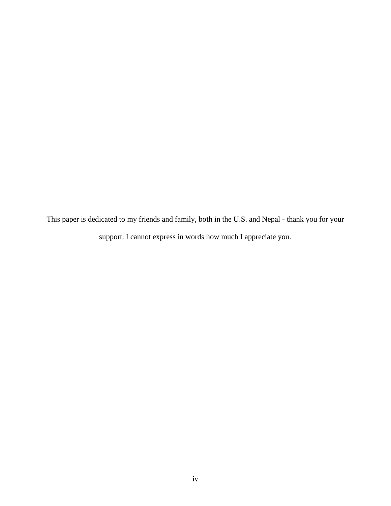This paper is dedicated to my friends and family, both in the U.S. and Nepal - thank you for your support. I cannot express in words how much I appreciate you.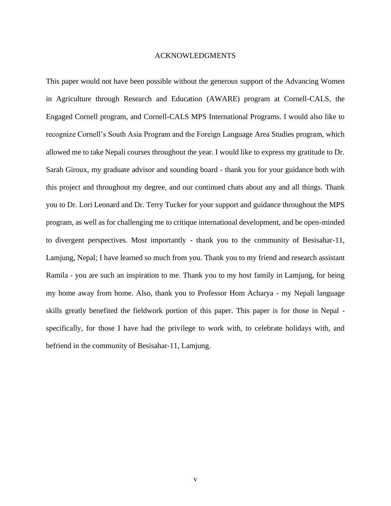## ACKNOWLEDGMENTS

This paper would not have been possible without the generous support of the Advancing Women in Agriculture through Research and Education (AWARE) program at Cornell-CALS, the Engaged Cornell program, and Cornell-CALS MPS International Programs. I would also like to recognize Cornell's South Asia Program and the Foreign Language Area Studies program, which allowed me to take Nepali courses throughout the year. I would like to express my gratitude to Dr. Sarah Giroux, my graduate advisor and sounding board - thank you for your guidance both with this project and throughout my degree, and our continued chats about any and all things. Thank you to Dr. Lori Leonard and Dr. Terry Tucker for your support and guidance throughout the MPS program, as well as for challenging me to critique international development, and be open-minded to divergent perspectives. Most importantly - thank you to the community of Besisahar-11, Lamjung, Nepal; I have learned so much from you. Thank you to my friend and research assistant Ramila - you are such an inspiration to me. Thank you to my host family in Lamjung, for being my home away from home. Also, thank you to Professor Hom Acharya - my Nepali language skills greatly benefited the fieldwork portion of this paper. This paper is for those in Nepal specifically, for those I have had the privilege to work with, to celebrate holidays with, and befriend in the community of Besisahar-11, Lamjung.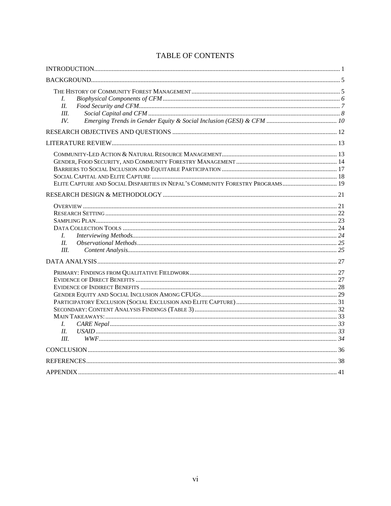| L<br>II<br>III.<br>IV.                                                         |  |
|--------------------------------------------------------------------------------|--|
|                                                                                |  |
|                                                                                |  |
| ELITE CAPTURE AND SOCIAL DISPARITIES IN NEPAL'S COMMUNITY FORESTRY PROGRAMS 19 |  |
|                                                                                |  |
| L<br>II.<br>III.                                                               |  |
|                                                                                |  |
| L-<br>II.<br>III.                                                              |  |
|                                                                                |  |
|                                                                                |  |
|                                                                                |  |

## TABLE OF CONTENTS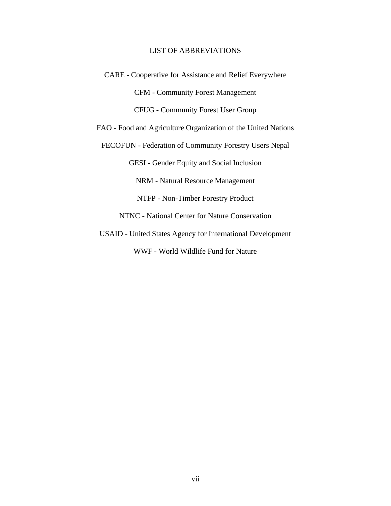## LIST OF ABBREVIATIONS

CARE - Cooperative for Assistance and Relief Everywhere CFM - Community Forest Management CFUG - Community Forest User Group FAO - Food and Agriculture Organization of the United Nations FECOFUN - Federation of Community Forestry Users Nepal GESI - Gender Equity and Social Inclusion NRM - Natural Resource Management NTFP - Non-Timber Forestry Product NTNC - National Center for Nature Conservation USAID - United States Agency for International Development

WWF - World Wildlife Fund for Nature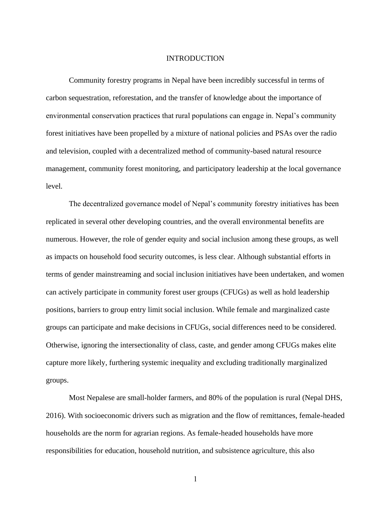## INTRODUCTION

<span id="page-8-0"></span>Community forestry programs in Nepal have been incredibly successful in terms of carbon sequestration, reforestation, and the transfer of knowledge about the importance of environmental conservation practices that rural populations can engage in. Nepal's community forest initiatives have been propelled by a mixture of national policies and PSAs over the radio and television, coupled with a decentralized method of community-based natural resource management, community forest monitoring, and participatory leadership at the local governance level.

The decentralized governance model of Nepal's community forestry initiatives has been replicated in several other developing countries, and the overall environmental benefits are numerous. However, the role of gender equity and social inclusion among these groups, as well as impacts on household food security outcomes, is less clear. Although substantial efforts in terms of gender mainstreaming and social inclusion initiatives have been undertaken, and women can actively participate in community forest user groups (CFUGs) as well as hold leadership positions, barriers to group entry limit social inclusion. While female and marginalized caste groups can participate and make decisions in CFUGs, social differences need to be considered. Otherwise, ignoring the intersectionality of class, caste, and gender among CFUGs makes elite capture more likely, furthering systemic inequality and excluding traditionally marginalized groups.

Most Nepalese are small-holder farmers, and 80% of the population is rural (Nepal DHS, 2016). With socioeconomic drivers such as migration and the flow of remittances, female-headed households are the norm for agrarian regions. As female-headed households have more responsibilities for education, household nutrition, and subsistence agriculture, this also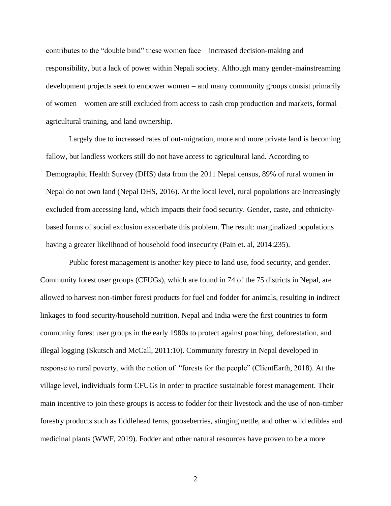contributes to the "double bind" these women face – increased decision-making and responsibility, but a lack of power within Nepali society. Although many gender-mainstreaming development projects seek to empower women – and many community groups consist primarily of women – women are still excluded from access to cash crop production and markets, formal agricultural training, and land ownership.

Largely due to increased rates of out-migration, more and more private land is becoming fallow, but landless workers still do not have access to agricultural land. According to Demographic Health Survey (DHS) data from the 2011 Nepal census, 89% of rural women in Nepal do not own land (Nepal DHS, 2016). At the local level, rural populations are increasingly excluded from accessing land, which impacts their food security. Gender, caste, and ethnicitybased forms of social exclusion exacerbate this problem. The result: marginalized populations having a greater likelihood of household food insecurity (Pain et. al, 2014:235).

Public forest management is another key piece to land use, food security, and gender. Community forest user groups (CFUGs), which are found in 74 of the 75 districts in Nepal, are allowed to harvest non-timber forest products for fuel and fodder for animals, resulting in indirect linkages to food security/household nutrition. Nepal and India were the first countries to form community forest user groups in the early 1980s to protect against poaching, deforestation, and illegal logging (Skutsch and McCall, 2011:10). Community forestry in Nepal developed in response to rural poverty, with the notion of "forests for the people" (ClientEarth, 2018). At the village level, individuals form CFUGs in order to practice sustainable forest management. Their main incentive to join these groups is access to fodder for their livestock and the use of non-timber forestry products such as fiddlehead ferns, gooseberries, stinging nettle, and other wild edibles and medicinal plants (WWF, 2019). Fodder and other natural resources have proven to be a more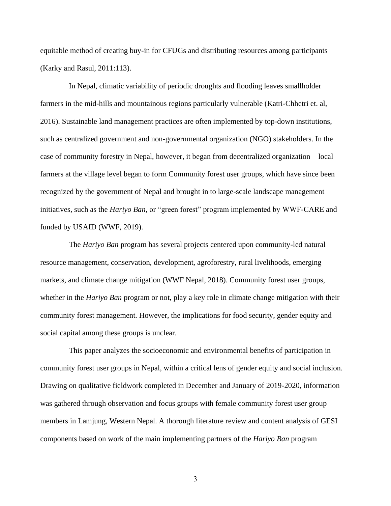equitable method of creating buy-in for CFUGs and distributing resources among participants (Karky and Rasul, 2011:113).

In Nepal, climatic variability of periodic droughts and flooding leaves smallholder farmers in the mid-hills and mountainous regions particularly vulnerable (Katri-Chhetri et. al, 2016). Sustainable land management practices are often implemented by top-down institutions, such as centralized government and non-governmental organization (NGO) stakeholders. In the case of community forestry in Nepal, however, it began from decentralized organization – local farmers at the village level began to form Community forest user groups, which have since been recognized by the government of Nepal and brought in to large-scale landscape management initiatives, such as the *Hariyo Ban,* or "green forest" program implemented by WWF-CARE and funded by USAID (WWF, 2019).

The *Hariyo Ban* program has several projects centered upon community-led natural resource management, conservation, development, agroforestry, rural livelihoods, emerging markets, and climate change mitigation (WWF Nepal, 2018). Community forest user groups, whether in the *Hariyo Ban* program or not, play a key role in climate change mitigation with their community forest management. However, the implications for food security, gender equity and social capital among these groups is unclear.

This paper analyzes the socioeconomic and environmental benefits of participation in community forest user groups in Nepal, within a critical lens of gender equity and social inclusion. Drawing on qualitative fieldwork completed in December and January of 2019-2020, information was gathered through observation and focus groups with female community forest user group members in Lamjung, Western Nepal. A thorough literature review and content analysis of GESI components based on work of the main implementing partners of the *Hariyo Ban* program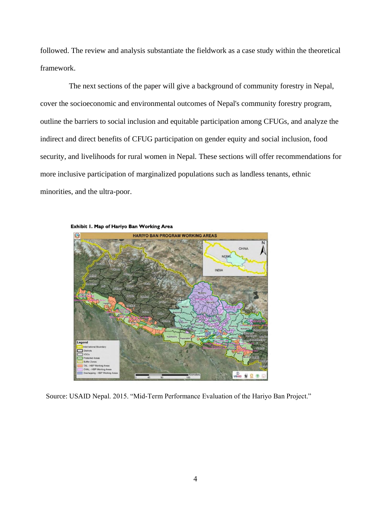followed. The review and analysis substantiate the fieldwork as a case study within the theoretical framework.

The next sections of the paper will give a background of community forestry in Nepal, cover the socioeconomic and environmental outcomes of Nepal's community forestry program, outline the barriers to social inclusion and equitable participation among CFUGs, and analyze the indirect and direct benefits of CFUG participation on gender equity and social inclusion, food security, and livelihoods for rural women in Nepal. These sections will offer recommendations for more inclusive participation of marginalized populations such as landless tenants, ethnic minorities, and the ultra-poor.



Source: USAID Nepal. 2015. "Mid-Term Performance Evaluation of the Hariyo Ban Project."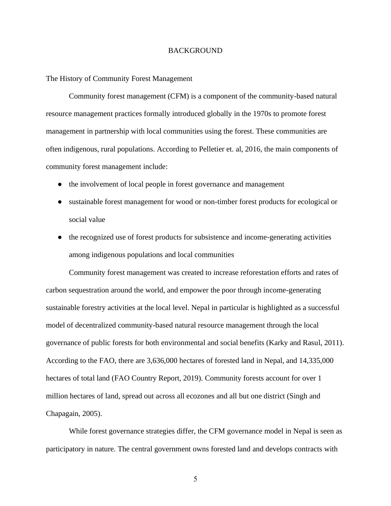## **BACKGROUND**

#### <span id="page-12-1"></span><span id="page-12-0"></span>The History of Community Forest Management

Community forest management (CFM) is a component of the community-based natural resource management practices formally introduced globally in the 1970s to promote forest management in partnership with local communities using the forest. These communities are often indigenous, rural populations. According to Pelletier et. al, 2016, the main components of community forest management include:

- the involvement of local people in forest governance and management
- sustainable forest management for wood or non-timber forest products for ecological or social value
- the recognized use of forest products for subsistence and income-generating activities among indigenous populations and local communities

Community forest management was created to increase reforestation efforts and rates of carbon sequestration around the world, and empower the poor through income-generating sustainable forestry activities at the local level. Nepal in particular is highlighted as a successful model of decentralized community-based natural resource management through the local governance of public forests for both environmental and social benefits (Karky and Rasul, 2011). According to the FAO, there are 3,636,000 hectares of forested land in Nepal, and 14,335,000 hectares of total land (FAO Country Report, 2019). Community forests account for over 1 million hectares of land, spread out across all ecozones and all but one district (Singh and Chapagain, 2005).

While forest governance strategies differ, the CFM governance model in Nepal is seen as participatory in nature. The central government owns forested land and develops contracts with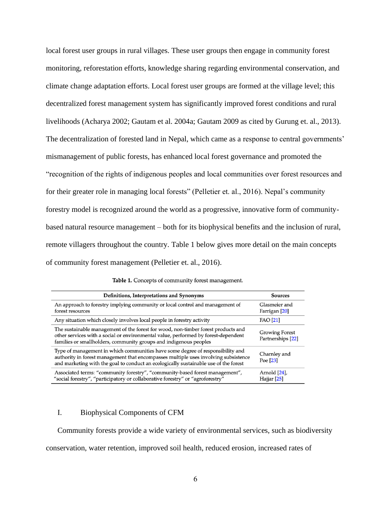local forest user groups in rural villages. These user groups then engage in community forest monitoring, reforestation efforts, knowledge sharing regarding environmental conservation, and climate change adaptation efforts. Local forest user groups are formed at the village level; this decentralized forest management system has significantly improved forest conditions and rural livelihoods (Acharya 2002; Gautam et al. 2004a; Gautam 2009 as cited by Gurung et. al., 2013). The decentralization of forested land in Nepal, which came as a response to central governments' mismanagement of public forests, has enhanced local forest governance and promoted the "recognition of the rights of indigenous peoples and local communities over forest resources and for their greater role in managing local forests" (Pelletier et. al., 2016). Nepal's community forestry model is recognized around the world as a progressive, innovative form of communitybased natural resource management – both for its biophysical benefits and the inclusion of rural, remote villagers throughout the country. Table 1 below gives more detail on the main concepts of community forest management (Pelletier et. al., 2016).

|  |  |  | Table 1. Concepts of community forest management. |  |
|--|--|--|---------------------------------------------------|--|
|--|--|--|---------------------------------------------------|--|

| Definitions, Interpretations and Synonyms                                                                                                                                                                                                                     | Sources                                    |
|---------------------------------------------------------------------------------------------------------------------------------------------------------------------------------------------------------------------------------------------------------------|--------------------------------------------|
| An approach to forestry implying community or local control and management of<br>forest resources                                                                                                                                                             | Glasmeier and<br>Farrigan [20]             |
| Any situation which closely involves local people in forestry activity                                                                                                                                                                                        | <b>FAO</b> [21]                            |
| The sustainable management of the forest for wood, non-timber forest products and<br>other services with a social or environmental value, performed by forest-dependent<br>families or smallholders, community groups and indigenous peoples                  | <b>Growing Forest</b><br>Partnerships [22] |
| Type of management in which communities have some degree of responsibility and<br>authority in forest management that encompasses multiple uses involving subsistence<br>and marketing with the goal to conduct an ecologically sustainable use of the forest | Charnley and<br>Poe [23]                   |
| Associated terms: "community forestry", "community-based forest management",<br>"social forestry", "participatory or collaborative forestry" or "agroforestry"                                                                                                | Arnold [24],<br>Hajjar [25]                |

## <span id="page-13-0"></span>I. Biophysical Components of CFM

Community forests provide a wide variety of environmental services, such as biodiversity conservation, water retention, improved soil health, reduced erosion, increased rates of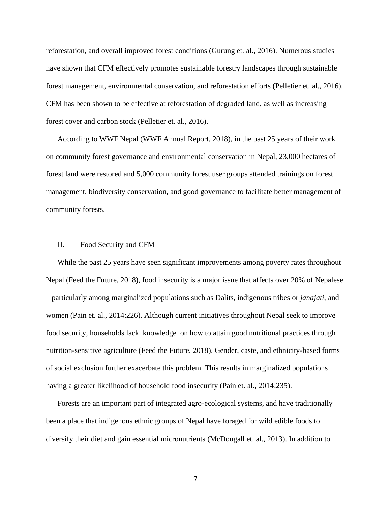reforestation, and overall improved forest conditions (Gurung et. al., 2016). Numerous studies have shown that CFM effectively promotes sustainable forestry landscapes through sustainable forest management, environmental conservation, and reforestation efforts (Pelletier et. al., 2016). CFM has been shown to be effective at reforestation of degraded land, as well as increasing forest cover and carbon stock (Pelletier et. al., 2016).

According to WWF Nepal (WWF Annual Report, 2018), in the past 25 years of their work on community forest governance and environmental conservation in Nepal, 23,000 hectares of forest land were restored and 5,000 community forest user groups attended trainings on forest management, biodiversity conservation, and good governance to facilitate better management of community forests.

## <span id="page-14-0"></span>II. Food Security and CFM

While the past 25 years have seen significant improvements among poverty rates throughout Nepal (Feed the Future, 2018), food insecurity is a major issue that affects over 20% of Nepalese – particularly among marginalized populations such as Dalits, indigenous tribes or *janajati*, and women (Pain et. al., 2014:226). Although current initiatives throughout Nepal seek to improve food security, households lack knowledge on how to attain good nutritional practices through nutrition-sensitive agriculture (Feed the Future, 2018). Gender, caste, and ethnicity-based forms of social exclusion further exacerbate this problem. This results in marginalized populations having a greater likelihood of household food insecurity (Pain et. al., 2014:235).

Forests are an important part of integrated agro-ecological systems, and have traditionally been a place that indigenous ethnic groups of Nepal have foraged for wild edible foods to diversify their diet and gain essential micronutrients (McDougall et. al., 2013). In addition to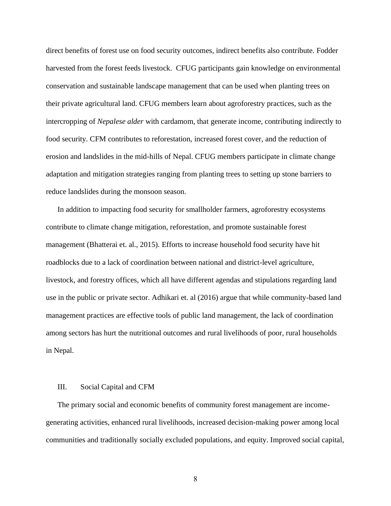direct benefits of forest use on food security outcomes, indirect benefits also contribute. Fodder harvested from the forest feeds livestock. CFUG participants gain knowledge on environmental conservation and sustainable landscape management that can be used when planting trees on their private agricultural land. CFUG members learn about agroforestry practices, such as the intercropping of *Nepalese alder* with cardamom, that generate income, contributing indirectly to food security. CFM contributes to reforestation, increased forest cover, and the reduction of erosion and landslides in the mid-hills of Nepal. CFUG members participate in climate change adaptation and mitigation strategies ranging from planting trees to setting up stone barriers to reduce landslides during the monsoon season.

In addition to impacting food security for smallholder farmers, agroforestry ecosystems contribute to climate change mitigation, reforestation, and promote sustainable forest management (Bhatterai et. al., 2015). Efforts to increase household food security have hit roadblocks due to a lack of coordination between national and district-level agriculture, livestock, and forestry offices, which all have different agendas and stipulations regarding land use in the public or private sector. Adhikari et. al (2016) argue that while community-based land management practices are effective tools of public land management, the lack of coordination among sectors has hurt the nutritional outcomes and rural livelihoods of poor, rural households in Nepal.

## <span id="page-15-0"></span>III. Social Capital and CFM

The primary social and economic benefits of community forest management are incomegenerating activities, enhanced rural livelihoods, increased decision-making power among local communities and traditionally socially excluded populations, and equity. Improved social capital,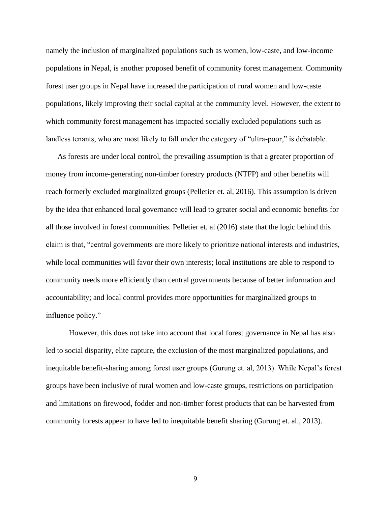namely the inclusion of marginalized populations such as women, low-caste, and low-income populations in Nepal, is another proposed benefit of community forest management. Community forest user groups in Nepal have increased the participation of rural women and low-caste populations, likely improving their social capital at the community level. However, the extent to which community forest management has impacted socially excluded populations such as landless tenants, who are most likely to fall under the category of "ultra-poor," is debatable.

As forests are under local control, the prevailing assumption is that a greater proportion of money from income-generating non-timber forestry products (NTFP) and other benefits will reach formerly excluded marginalized groups (Pelletier et. al, 2016). This assumption is driven by the idea that enhanced local governance will lead to greater social and economic benefits for all those involved in forest communities. Pelletier et. al (2016) state that the logic behind this claim is that, "central governments are more likely to prioritize national interests and industries, while local communities will favor their own interests; local institutions are able to respond to community needs more efficiently than central governments because of better information and accountability; and local control provides more opportunities for marginalized groups to influence policy."

However, this does not take into account that local forest governance in Nepal has also led to social disparity, elite capture, the exclusion of the most marginalized populations, and inequitable benefit-sharing among forest user groups (Gurung et. al, 2013). While Nepal's forest groups have been inclusive of rural women and low-caste groups, restrictions on participation and limitations on firewood, fodder and non-timber forest products that can be harvested from community forests appear to have led to inequitable benefit sharing (Gurung et. al., 2013).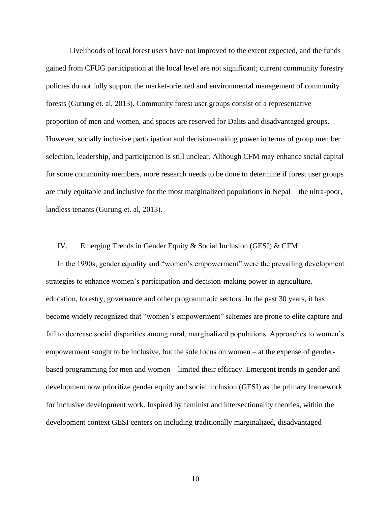Livelihoods of local forest users have not improved to the extent expected, and the funds gained from CFUG participation at the local level are not significant; current community forestry policies do not fully support the market-oriented and environmental management of community forests (Gurung et. al, 2013). Community forest user groups consist of a representative proportion of men and women, and spaces are reserved for Dalits and disadvantaged groups. However, socially inclusive participation and decision-making power in terms of group member selection, leadership, and participation is still unclear. Although CFM may enhance social capital for some community members, more research needs to be done to determine if forest user groups are truly equitable and inclusive for the most marginalized populations in Nepal – the ultra-poor, landless tenants (Gurung et. al, 2013).

## <span id="page-17-0"></span>IV. Emerging Trends in Gender Equity & Social Inclusion (GESI) & CFM

In the 1990s, gender equality and "women's empowerment" were the prevailing development strategies to enhance women's participation and decision-making power in agriculture, education, forestry, governance and other programmatic sectors. In the past 30 years, it has become widely recognized that "women's empowerment" schemes are prone to elite capture and fail to decrease social disparities among rural, marginalized populations. Approaches to women's empowerment sought to be inclusive, but the sole focus on women – at the expense of genderbased programming for men and women – limited their efficacy. Emergent trends in gender and development now prioritize gender equity and social inclusion (GESI) as the primary framework for inclusive development work. Inspired by feminist and intersectionality theories, within the development context GESI centers on including traditionally marginalized, disadvantaged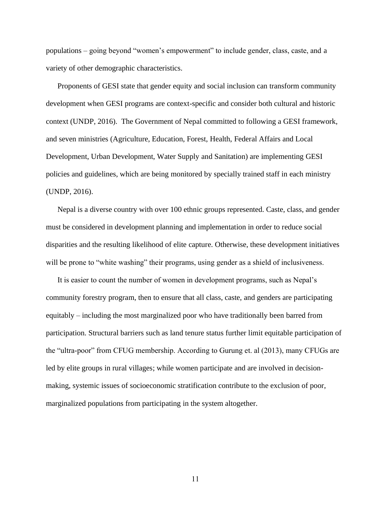populations – going beyond "women's empowerment" to include gender, class, caste, and a variety of other demographic characteristics.

Proponents of GESI state that gender equity and social inclusion can transform community development when GESI programs are context-specific and consider both cultural and historic context (UNDP, 2016). The Government of Nepal committed to following a GESI framework, and seven ministries (Agriculture, Education, Forest, Health, Federal Affairs and Local Development, Urban Development, Water Supply and Sanitation) are implementing GESI policies and guidelines, which are being monitored by specially trained staff in each ministry (UNDP, 2016).

Nepal is a diverse country with over 100 ethnic groups represented. Caste, class, and gender must be considered in development planning and implementation in order to reduce social disparities and the resulting likelihood of elite capture. Otherwise, these development initiatives will be prone to "white washing" their programs, using gender as a shield of inclusiveness.

It is easier to count the number of women in development programs, such as Nepal's community forestry program, then to ensure that all class, caste, and genders are participating equitably – including the most marginalized poor who have traditionally been barred from participation. Structural barriers such as land tenure status further limit equitable participation of the "ultra-poor" from CFUG membership. According to Gurung et. al (2013), many CFUGs are led by elite groups in rural villages; while women participate and are involved in decisionmaking, systemic issues of socioeconomic stratification contribute to the exclusion of poor, marginalized populations from participating in the system altogether.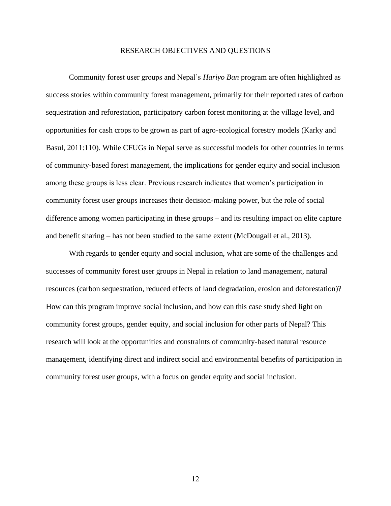## RESEARCH OBJECTIVES AND QUESTIONS

<span id="page-19-0"></span>Community forest user groups and Nepal's *Hariyo Ban* program are often highlighted as success stories within community forest management, primarily for their reported rates of carbon sequestration and reforestation, participatory carbon forest monitoring at the village level, and opportunities for cash crops to be grown as part of agro-ecological forestry models (Karky and Basul, 2011:110). While CFUGs in Nepal serve as successful models for other countries in terms of community-based forest management, the implications for gender equity and social inclusion among these groups is less clear. Previous research indicates that women's participation in community forest user groups increases their decision-making power, but the role of social difference among women participating in these groups – and its resulting impact on elite capture and benefit sharing – has not been studied to the same extent (McDougall et al., 2013).

With regards to gender equity and social inclusion, what are some of the challenges and successes of community forest user groups in Nepal in relation to land management, natural resources (carbon sequestration, reduced effects of land degradation, erosion and deforestation)? How can this program improve social inclusion, and how can this case study shed light on community forest groups, gender equity, and social inclusion for other parts of Nepal? This research will look at the opportunities and constraints of community-based natural resource management, identifying direct and indirect social and environmental benefits of participation in community forest user groups, with a focus on gender equity and social inclusion.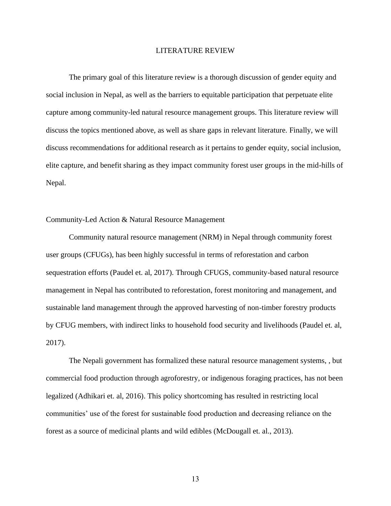## LITERATURE REVIEW

<span id="page-20-0"></span>The primary goal of this literature review is a thorough discussion of gender equity and social inclusion in Nepal, as well as the barriers to equitable participation that perpetuate elite capture among community-led natural resource management groups. This literature review will discuss the topics mentioned above, as well as share gaps in relevant literature. Finally, we will discuss recommendations for additional research as it pertains to gender equity, social inclusion, elite capture, and benefit sharing as they impact community forest user groups in the mid-hills of Nepal.

## <span id="page-20-1"></span>Community-Led Action & Natural Resource Management

Community natural resource management (NRM) in Nepal through community forest user groups (CFUGs), has been highly successful in terms of reforestation and carbon sequestration efforts (Paudel et. al, 2017). Through CFUGS, community-based natural resource management in Nepal has contributed to reforestation, forest monitoring and management, and sustainable land management through the approved harvesting of non-timber forestry products by CFUG members, with indirect links to household food security and livelihoods (Paudel et. al, 2017).

The Nepali government has formalized these natural resource management systems, , but commercial food production through agroforestry, or indigenous foraging practices, has not been legalized (Adhikari et. al, 2016). This policy shortcoming has resulted in restricting local communities' use of the forest for sustainable food production and decreasing reliance on the forest as a source of medicinal plants and wild edibles (McDougall et. al., 2013).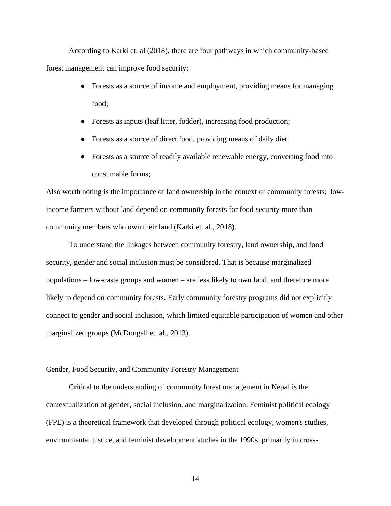According to Karki et. al (2018), there are four pathways in which community-based forest management can improve food security:

- Forests as a source of income and employment, providing means for managing food;
- Forests as inputs (leaf litter, fodder), increasing food production;
- Forests as a source of direct food, providing means of daily diet
- Forests as a source of readily available renewable energy, converting food into consumable forms;

Also worth noting is the importance of land ownership in the context of community forests; lowincome farmers without land depend on community forests for food security more than community members who own their land (Karki et. al., 2018).

To understand the linkages between community forestry, land ownership, and food security, gender and social inclusion must be considered. That is because marginalized populations – low-caste groups and women – are less likely to own land, and therefore more likely to depend on community forests. Early community forestry programs did not explicitly connect to gender and social inclusion, which limited equitable participation of women and other marginalized groups (McDougall et. al., 2013).

<span id="page-21-0"></span>Gender, Food Security, and Community Forestry Management

Critical to the understanding of community forest management in Nepal is the contextualization of gender, social inclusion, and marginalization. Feminist political ecology (FPE) is a theoretical framework that developed through political ecology, women's studies, environmental justice, and feminist development studies in the 1990s, primarily in cross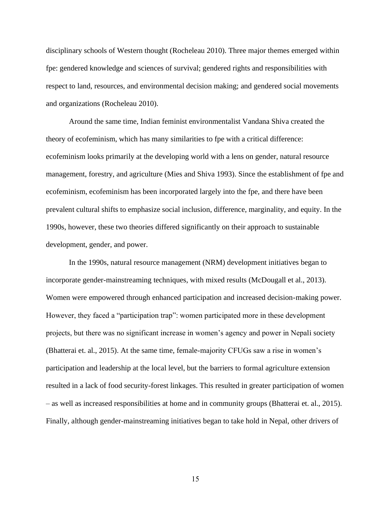disciplinary schools of Western thought (Rocheleau 2010). Three major themes emerged within fpe: gendered knowledge and sciences of survival; gendered rights and responsibilities with respect to land, resources, and environmental decision making; and gendered social movements and organizations (Rocheleau 2010).

Around the same time, Indian feminist environmentalist Vandana Shiva created the theory of ecofeminism, which has many similarities to fpe with a critical difference: ecofeminism looks primarily at the developing world with a lens on gender, natural resource management, forestry, and agriculture (Mies and Shiva 1993). Since the establishment of fpe and ecofeminism, ecofeminism has been incorporated largely into the fpe, and there have been prevalent cultural shifts to emphasize social inclusion, difference, marginality, and equity. In the 1990s, however, these two theories differed significantly on their approach to sustainable development, gender, and power.

In the 1990s, natural resource management (NRM) development initiatives began to incorporate gender-mainstreaming techniques, with mixed results (McDougall et al., 2013). Women were empowered through enhanced participation and increased decision-making power. However, they faced a "participation trap": women participated more in these development projects, but there was no significant increase in women's agency and power in Nepali society (Bhatterai et. al., 2015). At the same time, female-majority CFUGs saw a rise in women's participation and leadership at the local level, but the barriers to formal agriculture extension resulted in a lack of food security-forest linkages. This resulted in greater participation of women – as well as increased responsibilities at home and in community groups (Bhatterai et. al., 2015). Finally, although gender-mainstreaming initiatives began to take hold in Nepal, other drivers of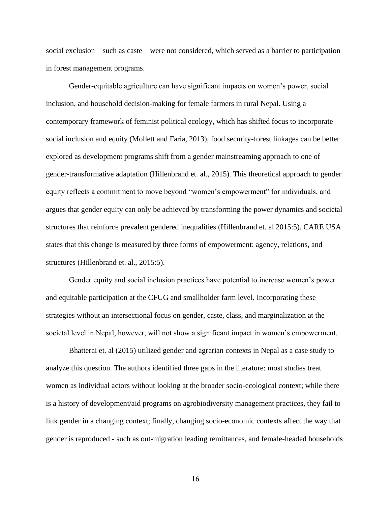social exclusion – such as caste – were not considered, which served as a barrier to participation in forest management programs.

Gender-equitable agriculture can have significant impacts on women's power, social inclusion, and household decision-making for female farmers in rural Nepal. Using a contemporary framework of feminist political ecology, which has shifted focus to incorporate social inclusion and equity (Mollett and Faria, 2013), food security-forest linkages can be better explored as development programs shift from a gender mainstreaming approach to one of gender-transformative adaptation (Hillenbrand et. al., 2015). This theoretical approach to gender equity reflects a commitment to move beyond "women's empowerment" for individuals, and argues that gender equity can only be achieved by transforming the power dynamics and societal structures that reinforce prevalent gendered inequalities (Hillenbrand et. al 2015:5). CARE USA states that this change is measured by three forms of empowerment: agency, relations, and structures (Hillenbrand et. al., 2015:5).

Gender equity and social inclusion practices have potential to increase women's power and equitable participation at the CFUG and smallholder farm level. Incorporating these strategies without an intersectional focus on gender, caste, class, and marginalization at the societal level in Nepal, however, will not show a significant impact in women's empowerment.

Bhatterai et. al (2015) utilized gender and agrarian contexts in Nepal as a case study to analyze this question. The authors identified three gaps in the literature: most studies treat women as individual actors without looking at the broader socio-ecological context; while there is a history of development/aid programs on agrobiodiversity management practices, they fail to link gender in a changing context; finally, changing socio-economic contexts affect the way that gender is reproduced - such as out-migration leading remittances, and female-headed households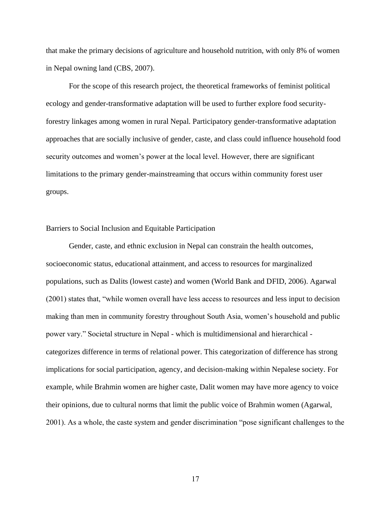that make the primary decisions of agriculture and household nutrition, with only 8% of women in Nepal owning land (CBS, 2007).

For the scope of this research project, the theoretical frameworks of feminist political ecology and gender-transformative adaptation will be used to further explore food securityforestry linkages among women in rural Nepal. Participatory gender-transformative adaptation approaches that are socially inclusive of gender, caste, and class could influence household food security outcomes and women's power at the local level. However, there are significant limitations to the primary gender-mainstreaming that occurs within community forest user groups.

## <span id="page-24-0"></span>Barriers to Social Inclusion and Equitable Participation

Gender, caste, and ethnic exclusion in Nepal can constrain the health outcomes, socioeconomic status, educational attainment, and access to resources for marginalized populations, such as Dalits (lowest caste) and women (World Bank and DFID, 2006). Agarwal (2001) states that, "while women overall have less access to resources and less input to decision making than men in community forestry throughout South Asia, women's household and public power vary." Societal structure in Nepal - which is multidimensional and hierarchical categorizes difference in terms of relational power. This categorization of difference has strong implications for social participation, agency, and decision-making within Nepalese society. For example, while Brahmin women are higher caste, Dalit women may have more agency to voice their opinions, due to cultural norms that limit the public voice of Brahmin women (Agarwal, 2001). As a whole, the caste system and gender discrimination "pose significant challenges to the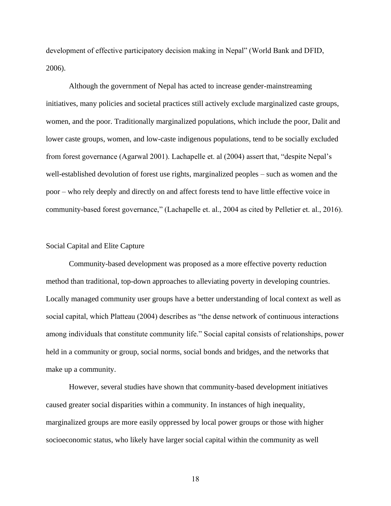development of effective participatory decision making in Nepal" (World Bank and DFID, 2006).

Although the government of Nepal has acted to increase gender-mainstreaming initiatives, many policies and societal practices still actively exclude marginalized caste groups, women, and the poor. Traditionally marginalized populations, which include the poor, Dalit and lower caste groups, women, and low-caste indigenous populations, tend to be socially excluded from forest governance (Agarwal 2001). Lachapelle et. al (2004) assert that, "despite Nepal's well-established devolution of forest use rights, marginalized peoples – such as women and the poor – who rely deeply and directly on and affect forests tend to have little effective voice in community-based forest governance," (Lachapelle et. al., 2004 as cited by Pelletier et. al., 2016).

## <span id="page-25-0"></span>Social Capital and Elite Capture

 Community-based development was proposed as a more effective poverty reduction method than traditional, top-down approaches to alleviating poverty in developing countries. Locally managed community user groups have a better understanding of local context as well as social capital, which Platteau (2004) describes as "the dense network of continuous interactions among individuals that constitute community life." Social capital consists of relationships, power held in a community or group, social norms, social bonds and bridges, and the networks that make up a community.

However, several studies have shown that community-based development initiatives caused greater social disparities within a community. In instances of high inequality, marginalized groups are more easily oppressed by local power groups or those with higher socioeconomic status, who likely have larger social capital within the community as well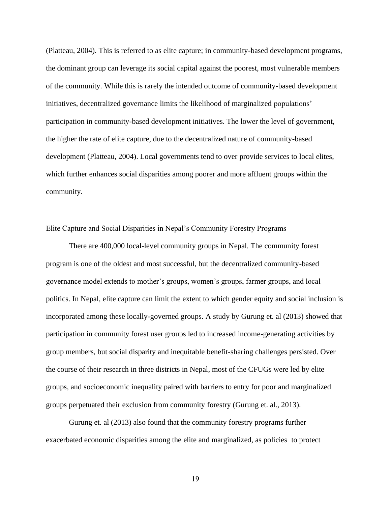(Platteau, 2004). This is referred to as elite capture; in community-based development programs, the dominant group can leverage its social capital against the poorest, most vulnerable members of the community. While this is rarely the intended outcome of community-based development initiatives, decentralized governance limits the likelihood of marginalized populations' participation in community-based development initiatives. The lower the level of government, the higher the rate of elite capture, due to the decentralized nature of community-based development (Platteau, 2004). Local governments tend to over provide services to local elites, which further enhances social disparities among poorer and more affluent groups within the community.

<span id="page-26-0"></span>Elite Capture and Social Disparities in Nepal's Community Forestry Programs

There are 400,000 local-level community groups in Nepal. The community forest program is one of the oldest and most successful, but the decentralized community-based governance model extends to mother's groups, women's groups, farmer groups, and local politics. In Nepal, elite capture can limit the extent to which gender equity and social inclusion is incorporated among these locally-governed groups. A study by Gurung et. al (2013) showed that participation in community forest user groups led to increased income-generating activities by group members, but social disparity and inequitable benefit-sharing challenges persisted. Over the course of their research in three districts in Nepal, most of the CFUGs were led by elite groups, and socioeconomic inequality paired with barriers to entry for poor and marginalized groups perpetuated their exclusion from community forestry (Gurung et. al., 2013).

Gurung et. al (2013) also found that the community forestry programs further exacerbated economic disparities among the elite and marginalized, as policies to protect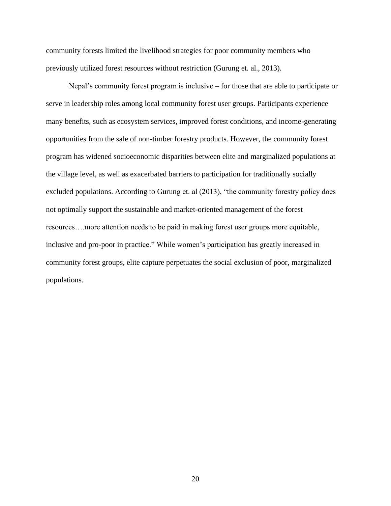community forests limited the livelihood strategies for poor community members who previously utilized forest resources without restriction (Gurung et. al., 2013).

Nepal's community forest program is inclusive – for those that are able to participate or serve in leadership roles among local community forest user groups. Participants experience many benefits, such as ecosystem services, improved forest conditions, and income-generating opportunities from the sale of non-timber forestry products. However, the community forest program has widened socioeconomic disparities between elite and marginalized populations at the village level, as well as exacerbated barriers to participation for traditionally socially excluded populations. According to Gurung et. al (2013), "the community forestry policy does not optimally support the sustainable and market-oriented management of the forest resources….more attention needs to be paid in making forest user groups more equitable, inclusive and pro-poor in practice." While women's participation has greatly increased in community forest groups, elite capture perpetuates the social exclusion of poor, marginalized populations.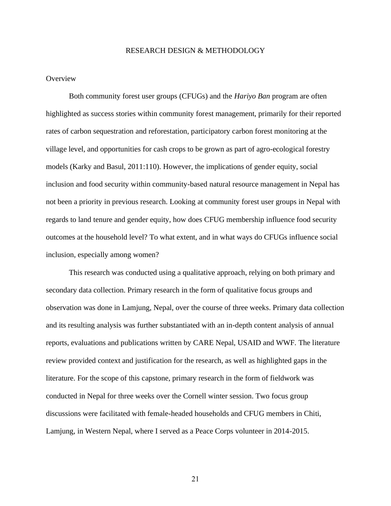#### RESEARCH DESIGN & METHODOLOGY

## <span id="page-28-1"></span><span id="page-28-0"></span>**Overview**

Both community forest user groups (CFUGs) and the *Hariyo Ban* program are often highlighted as success stories within community forest management, primarily for their reported rates of carbon sequestration and reforestation, participatory carbon forest monitoring at the village level, and opportunities for cash crops to be grown as part of agro-ecological forestry models (Karky and Basul, 2011:110). However, the implications of gender equity, social inclusion and food security within community-based natural resource management in Nepal has not been a priority in previous research. Looking at community forest user groups in Nepal with regards to land tenure and gender equity, how does CFUG membership influence food security outcomes at the household level? To what extent, and in what ways do CFUGs influence social inclusion, especially among women?

This research was conducted using a qualitative approach, relying on both primary and secondary data collection. Primary research in the form of qualitative focus groups and observation was done in Lamjung, Nepal, over the course of three weeks. Primary data collection and its resulting analysis was further substantiated with an in-depth content analysis of annual reports, evaluations and publications written by CARE Nepal, USAID and WWF. The literature review provided context and justification for the research, as well as highlighted gaps in the literature. For the scope of this capstone, primary research in the form of fieldwork was conducted in Nepal for three weeks over the Cornell winter session. Two focus group discussions were facilitated with female-headed households and CFUG members in Chiti, Lamjung, in Western Nepal, where I served as a Peace Corps volunteer in 2014-2015.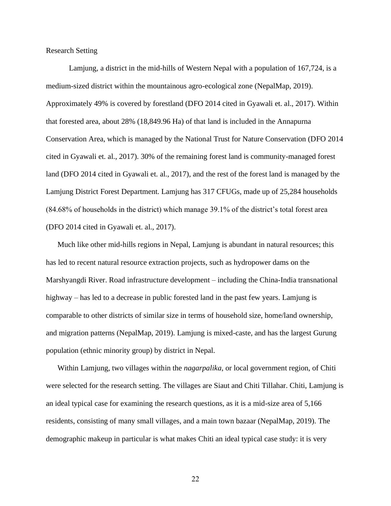<span id="page-29-0"></span>Research Setting

Lamjung, a district in the mid-hills of Western Nepal with a population of 167,724, is a medium-sized district within the mountainous agro-ecological zone (NepalMap, 2019). Approximately 49% is covered by forestland (DFO 2014 cited in Gyawali et. al., 2017). Within that forested area, about 28% (18,849.96 Ha) of that land is included in the Annapurna Conservation Area, which is managed by the National Trust for Nature Conservation (DFO 2014 cited in Gyawali et. al., 2017). 30% of the remaining forest land is community-managed forest land (DFO 2014 cited in Gyawali et. al., 2017), and the rest of the forest land is managed by the Lamjung District Forest Department. Lamjung has 317 CFUGs, made up of 25,284 households (84.68% of households in the district) which manage 39.1% of the district's total forest area (DFO 2014 cited in Gyawali et. al., 2017).

Much like other mid-hills regions in Nepal, Lamjung is abundant in natural resources; this has led to recent natural resource extraction projects, such as hydropower dams on the Marshyangdi River. Road infrastructure development – including the China-India transnational highway – has led to a decrease in public forested land in the past few years. Lamjung is comparable to other districts of similar size in terms of household size, home/land ownership, and migration patterns (NepalMap, 2019). Lamjung is mixed-caste, and has the largest Gurung population (ethnic minority group) by district in Nepal.

Within Lamjung, two villages within the *nagarpalika*, or local government region, of Chiti were selected for the research setting. The villages are Siaut and Chiti Tillahar. Chiti, Lamjung is an ideal typical case for examining the research questions, as it is a mid-size area of 5,166 residents, consisting of many small villages, and a main town bazaar (NepalMap, 2019). The demographic makeup in particular is what makes Chiti an ideal typical case study: it is very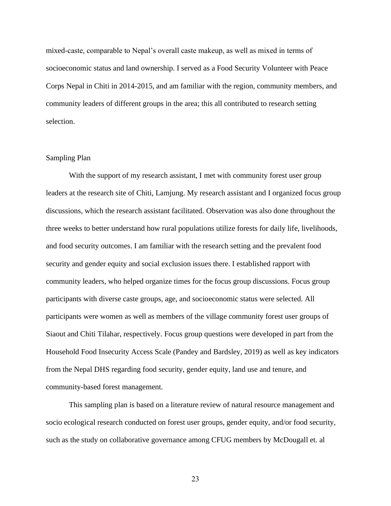mixed-caste, comparable to Nepal's overall caste makeup, as well as mixed in terms of socioeconomic status and land ownership. I served as a Food Security Volunteer with Peace Corps Nepal in Chiti in 2014-2015, and am familiar with the region, community members, and community leaders of different groups in the area; this all contributed to research setting selection.

## <span id="page-30-0"></span>Sampling Plan

With the support of my research assistant, I met with community forest user group leaders at the research site of Chiti, Lamjung. My research assistant and I organized focus group discussions, which the research assistant facilitated. Observation was also done throughout the three weeks to better understand how rural populations utilize forests for daily life, livelihoods, and food security outcomes. I am familiar with the research setting and the prevalent food security and gender equity and social exclusion issues there. I established rapport with community leaders, who helped organize times for the focus group discussions. Focus group participants with diverse caste groups, age, and socioeconomic status were selected. All participants were women as well as members of the village community forest user groups of Siaout and Chiti Tilahar, respectively. Focus group questions were developed in part from the Household Food Insecurity Access Scale (Pandey and Bardsley, 2019) as well as key indicators from the Nepal DHS regarding food security, gender equity, land use and tenure, and community-based forest management.

This sampling plan is based on a literature review of natural resource management and socio ecological research conducted on forest user groups, gender equity, and/or food security, such as the study on collaborative governance among CFUG members by McDougall et. al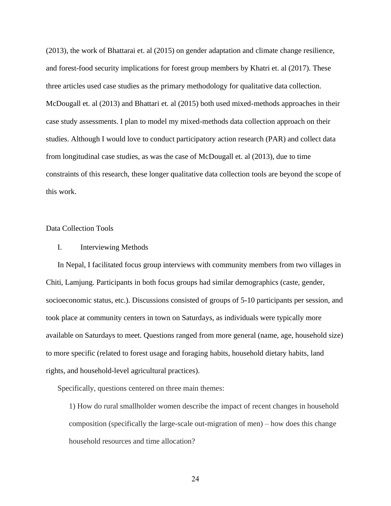(2013), the work of Bhattarai et. al (2015) on gender adaptation and climate change resilience, and forest-food security implications for forest group members by Khatri et. al (2017). These three articles used case studies as the primary methodology for qualitative data collection. McDougall et. al (2013) and Bhattari et. al (2015) both used mixed-methods approaches in their case study assessments. I plan to model my mixed-methods data collection approach on their studies. Although I would love to conduct participatory action research (PAR) and collect data from longitudinal case studies, as was the case of McDougall et. al (2013), due to time constraints of this research, these longer qualitative data collection tools are beyond the scope of this work.

## <span id="page-31-0"></span>Data Collection Tools

## <span id="page-31-1"></span>I. Interviewing Methods

In Nepal, I facilitated focus group interviews with community members from two villages in Chiti, Lamjung. Participants in both focus groups had similar demographics (caste, gender, socioeconomic status, etc.). Discussions consisted of groups of 5-10 participants per session, and took place at community centers in town on Saturdays, as individuals were typically more available on Saturdays to meet. Questions ranged from more general (name, age, household size) to more specific (related to forest usage and foraging habits, household dietary habits, land rights, and household-level agricultural practices).

Specifically, questions centered on three main themes:

1) How do rural smallholder women describe the impact of recent changes in household composition (specifically the large-scale out-migration of men) – how does this change household resources and time allocation?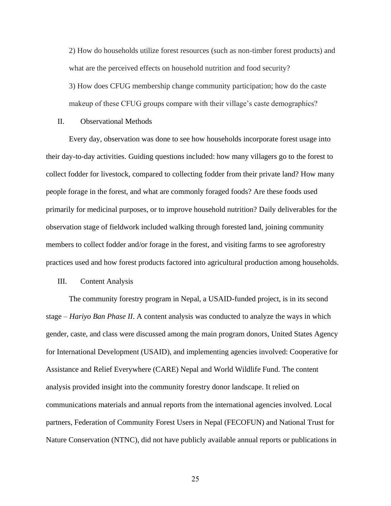2) How do households utilize forest resources (such as non-timber forest products) and what are the perceived effects on household nutrition and food security?

3) How does CFUG membership change community participation; how do the caste makeup of these CFUG groups compare with their village's caste demographics?

## <span id="page-32-0"></span>II. Observational Methods

Every day, observation was done to see how households incorporate forest usage into their day-to-day activities. Guiding questions included: how many villagers go to the forest to collect fodder for livestock, compared to collecting fodder from their private land? How many people forage in the forest, and what are commonly foraged foods? Are these foods used primarily for medicinal purposes, or to improve household nutrition? Daily deliverables for the observation stage of fieldwork included walking through forested land, joining community members to collect fodder and/or forage in the forest, and visiting farms to see agroforestry practices used and how forest products factored into agricultural production among households.

## <span id="page-32-1"></span>III. Content Analysis

The community forestry program in Nepal, a USAID-funded project, is in its second stage – *Hariyo Ban Phase II*. A content analysis was conducted to analyze the ways in which gender, caste, and class were discussed among the main program donors, United States Agency for International Development (USAID), and implementing agencies involved: Cooperative for Assistance and Relief Everywhere (CARE) Nepal and World Wildlife Fund. The content analysis provided insight into the community forestry donor landscape. It relied on communications materials and annual reports from the international agencies involved. Local partners, Federation of Community Forest Users in Nepal (FECOFUN) and National Trust for Nature Conservation (NTNC), did not have publicly available annual reports or publications in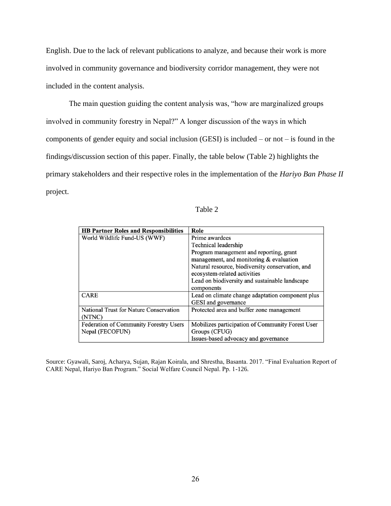English. Due to the lack of relevant publications to analyze, and because their work is more involved in community governance and biodiversity corridor management, they were not included in the content analysis.

The main question guiding the content analysis was, "how are marginalized groups involved in community forestry in Nepal?" A longer discussion of the ways in which components of gender equity and social inclusion (GESI) is included – or not – is found in the findings/discussion section of this paper. Finally, the table below (Table 2) highlights the primary stakeholders and their respective roles in the implementation of the *Hariyo Ban Phase II* project.

| ınıe<br>╭ |  |
|-----------|--|
|-----------|--|

| <b>HB Partner Roles and Responsibilities</b>  | Role                                             |
|-----------------------------------------------|--------------------------------------------------|
| World Wildlife Fund-US (WWF)                  | Prime awardees                                   |
|                                               | Technical leadership                             |
|                                               | Program management and reporting, grant          |
|                                               | management, and monitoring $&$ evaluation        |
|                                               | Natural resource, biodiversity conservation, and |
|                                               | ecosystem-related activities                     |
|                                               | Lead on biodiversity and sustainable landscape   |
|                                               | components                                       |
| <b>CARE</b>                                   | Lead on climate change adaptation component plus |
|                                               | GESI and governance                              |
| National Trust for Nature Conservation        | Protected area and buffer zone management        |
| (NTNC)                                        |                                                  |
| <b>Federation of Community Forestry Users</b> | Mobilizes participation of Community Forest User |
| Nepal (FECOFUN)                               | Groups (CFUG)                                    |
|                                               | Issues-based advocacy and governance             |

Source: Gyawali, Saroj, Acharya, Sujan, Rajan Koirala, and Shrestha, Basanta. 2017. "Final Evaluation Report of CARE Nepal, Hariyo Ban Program." Social Welfare Council Nepal. Pp. 1-126.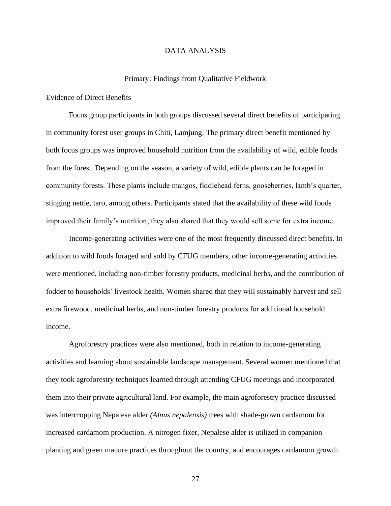## DATA ANALYSIS

### Primary: Findings from Qualitative Fieldwork

<span id="page-34-2"></span><span id="page-34-1"></span><span id="page-34-0"></span>Evidence of Direct Benefits

Focus group participants in both groups discussed several direct benefits of participating in community forest user groups in Chiti, Lamjung. The primary direct benefit mentioned by both focus groups was improved household nutrition from the availability of wild, edible foods from the forest. Depending on the season, a variety of wild, edible plants can be foraged in community forests. These plants include mangos, fiddlehead ferns, gooseberries, lamb's quarter, stinging nettle, taro, among others. Participants stated that the availability of these wild foods improved their family's nutrition; they also shared that they would sell some for extra income.

Income-generating activities were one of the most frequently discussed direct benefits. In addition to wild foods foraged and sold by CFUG members, other income-generating activities were mentioned, including non-timber forestry products, medicinal herbs, and the contribution of fodder to households' livestock health. Women shared that they will sustainably harvest and sell extra firewood, medicinal herbs, and non-timber forestry products for additional household income.

Agroforestry practices were also mentioned, both in relation to income-generating activities and learning about sustainable landscape management. Several women mentioned that they took agroforestry techniques learned through attending CFUG meetings and incorporated them into their private agricultural land. For example, the main agroforestry practice discussed was intercropping Nepalese alder *(Alnus nepalensis)* trees with shade-grown cardamom for increased cardamom production. A nitrogen fixer, Nepalese alder is utilized in companion planting and green manure practices throughout the country, and encourages cardamom growth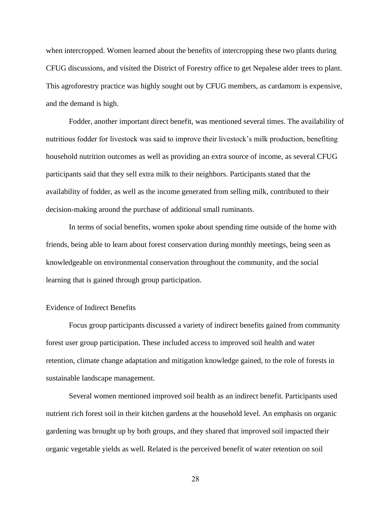when intercropped. Women learned about the benefits of intercropping these two plants during CFUG discussions, and visited the District of Forestry office to get Nepalese alder trees to plant. This agroforestry practice was highly sought out by CFUG members, as cardamom is expensive, and the demand is high.

Fodder, another important direct benefit, was mentioned several times. The availability of nutritious fodder for livestock was said to improve their livestock's milk production, benefiting household nutrition outcomes as well as providing an extra source of income, as several CFUG participants said that they sell extra milk to their neighbors. Participants stated that the availability of fodder, as well as the income generated from selling milk, contributed to their decision-making around the purchase of additional small ruminants.

In terms of social benefits, women spoke about spending time outside of the home with friends, being able to learn about forest conservation during monthly meetings, being seen as knowledgeable on environmental conservation throughout the community, and the social learning that is gained through group participation.

## <span id="page-35-0"></span>Evidence of Indirect Benefits

Focus group participants discussed a variety of indirect benefits gained from community forest user group participation. These included access to improved soil health and water retention, climate change adaptation and mitigation knowledge gained, to the role of forests in sustainable landscape management.

Several women mentioned improved soil health as an indirect benefit. Participants used nutrient rich forest soil in their kitchen gardens at the household level. An emphasis on organic gardening was brought up by both groups, and they shared that improved soil impacted their organic vegetable yields as well. Related is the perceived benefit of water retention on soil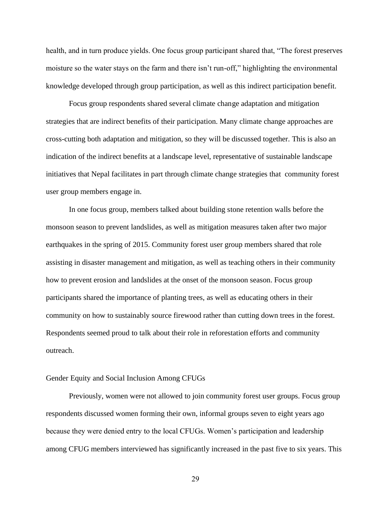health, and in turn produce yields. One focus group participant shared that, "The forest preserves moisture so the water stays on the farm and there isn't run-off," highlighting the environmental knowledge developed through group participation, as well as this indirect participation benefit.

Focus group respondents shared several climate change adaptation and mitigation strategies that are indirect benefits of their participation. Many climate change approaches are cross-cutting both adaptation and mitigation, so they will be discussed together. This is also an indication of the indirect benefits at a landscape level, representative of sustainable landscape initiatives that Nepal facilitates in part through climate change strategies that community forest user group members engage in.

In one focus group, members talked about building stone retention walls before the monsoon season to prevent landslides, as well as mitigation measures taken after two major earthquakes in the spring of 2015. Community forest user group members shared that role assisting in disaster management and mitigation, as well as teaching others in their community how to prevent erosion and landslides at the onset of the monsoon season. Focus group participants shared the importance of planting trees, as well as educating others in their community on how to sustainably source firewood rather than cutting down trees in the forest. Respondents seemed proud to talk about their role in reforestation efforts and community outreach.

#### <span id="page-36-0"></span>Gender Equity and Social Inclusion Among CFUGs

Previously, women were not allowed to join community forest user groups. Focus group respondents discussed women forming their own, informal groups seven to eight years ago because they were denied entry to the local CFUGs. Women's participation and leadership among CFUG members interviewed has significantly increased in the past five to six years. This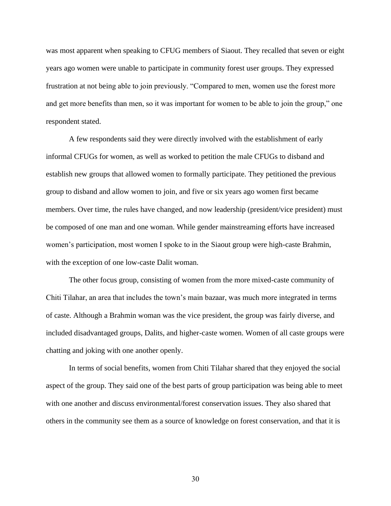was most apparent when speaking to CFUG members of Siaout. They recalled that seven or eight years ago women were unable to participate in community forest user groups. They expressed frustration at not being able to join previously. "Compared to men, women use the forest more and get more benefits than men, so it was important for women to be able to join the group," one respondent stated.

A few respondents said they were directly involved with the establishment of early informal CFUGs for women, as well as worked to petition the male CFUGs to disband and establish new groups that allowed women to formally participate. They petitioned the previous group to disband and allow women to join, and five or six years ago women first became members. Over time, the rules have changed, and now leadership (president/vice president) must be composed of one man and one woman. While gender mainstreaming efforts have increased women's participation, most women I spoke to in the Siaout group were high-caste Brahmin, with the exception of one low-caste Dalit woman.

The other focus group, consisting of women from the more mixed-caste community of Chiti Tilahar, an area that includes the town's main bazaar, was much more integrated in terms of caste. Although a Brahmin woman was the vice president, the group was fairly diverse, and included disadvantaged groups, Dalits, and higher-caste women. Women of all caste groups were chatting and joking with one another openly.

In terms of social benefits, women from Chiti Tilahar shared that they enjoyed the social aspect of the group. They said one of the best parts of group participation was being able to meet with one another and discuss environmental/forest conservation issues. They also shared that others in the community see them as a source of knowledge on forest conservation, and that it is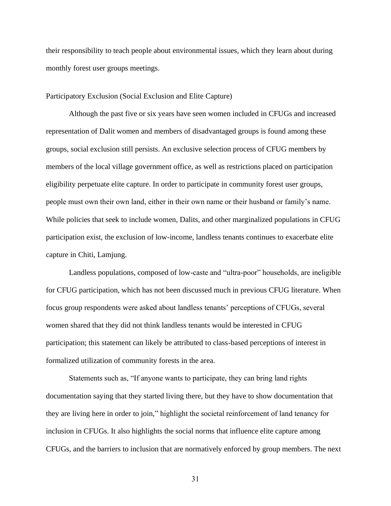their responsibility to teach people about environmental issues, which they learn about during monthly forest user groups meetings.

## <span id="page-38-0"></span>Participatory Exclusion (Social Exclusion and Elite Capture)

Although the past five or six years have seen women included in CFUGs and increased representation of Dalit women and members of disadvantaged groups is found among these groups, social exclusion still persists. An exclusive selection process of CFUG members by members of the local village government office, as well as restrictions placed on participation eligibility perpetuate elite capture. In order to participate in community forest user groups, people must own their own land, either in their own name or their husband or family's name. While policies that seek to include women, Dalits, and other marginalized populations in CFUG participation exist, the exclusion of low-income, landless tenants continues to exacerbate elite capture in Chiti, Lamjung.

Landless populations, composed of low-caste and "ultra-poor" households, are ineligible for CFUG participation, which has not been discussed much in previous CFUG literature. When focus group respondents were asked about landless tenants' perceptions of CFUGs, several women shared that they did not think landless tenants would be interested in CFUG participation; this statement can likely be attributed to class-based perceptions of interest in formalized utilization of community forests in the area.

Statements such as, "If anyone wants to participate, they can bring land rights documentation saying that they started living there, but they have to show documentation that they are living here in order to join," highlight the societal reinforcement of land tenancy for inclusion in CFUGs. It also highlights the social norms that influence elite capture among CFUGs, and the barriers to inclusion that are normatively enforced by group members. The next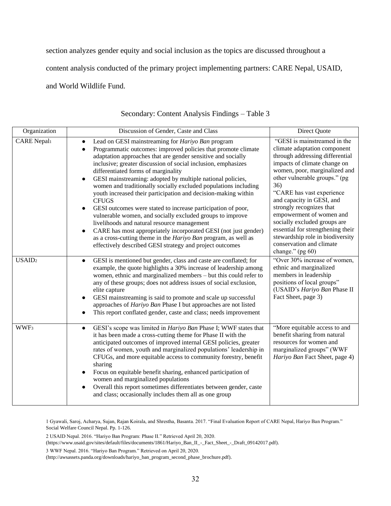section analyzes gender equity and social inclusion as the topics are discussed throughout a

content analysis conducted of the primary project implementing partners: CARE Nepal, USAID,

<span id="page-39-0"></span>and World Wildlife Fund.

| Organization       | Discussion of Gender, Caste and Class                                                                                                                                                                                                                                                                                                                                                                                                                                                                                                                                                                                                                                                                                                                                                                                                                                                                                | Direct Quote                                                                                                                                                                                                                                                                                                                                                                                                                                                                        |
|--------------------|----------------------------------------------------------------------------------------------------------------------------------------------------------------------------------------------------------------------------------------------------------------------------------------------------------------------------------------------------------------------------------------------------------------------------------------------------------------------------------------------------------------------------------------------------------------------------------------------------------------------------------------------------------------------------------------------------------------------------------------------------------------------------------------------------------------------------------------------------------------------------------------------------------------------|-------------------------------------------------------------------------------------------------------------------------------------------------------------------------------------------------------------------------------------------------------------------------------------------------------------------------------------------------------------------------------------------------------------------------------------------------------------------------------------|
| <b>CARE Nepalı</b> | Lead on GESI mainstreaming for Hariyo Ban program<br>$\bullet$<br>Programmatic outcomes: improved policies that promote climate<br>$\bullet$<br>adaptation approaches that are gender sensitive and socially<br>inclusive; greater discussion of social inclusion, emphasizes<br>differentiated forms of marginality<br>GESI mainstreaming: adopted by multiple national policies,<br>women and traditionally socially excluded populations including<br>youth increased their participation and decision-making within<br><b>CFUGS</b><br>GESI outcomes were stated to increase participation of poor,<br>vulnerable women, and socially excluded groups to improve<br>livelihoods and natural resource management<br>CARE has most appropriately incorporated GESI (not just gender)<br>as a cross-cutting theme in the Hariyo Ban program, as well as<br>effectively described GESI strategy and project outcomes | "GESI is mainstreamed in the<br>climate adaptation component<br>through addressing differential<br>impacts of climate change on<br>women, poor, marginalized and<br>other vulnerable groups." (pg<br>36)<br>"CARE has vast experience<br>and capacity in GESI, and<br>strongly recognizes that<br>empowerment of women and<br>socially excluded groups are<br>essential for strengthening their<br>stewardship role in biodiversity<br>conservation and climate<br>change." (pg 60) |
| USAID <sub>2</sub> | GESI is mentioned but gender, class and caste are conflated; for<br>$\bullet$<br>example, the quote highlights a 30% increase of leadership among<br>women, ethnic and marginalized members - but this could refer to<br>any of these groups; does not address issues of social exclusion,<br>elite capture<br>GESI mainstreaming is said to promote and scale up successful<br>approaches of Hariyo Ban Phase I but approaches are not listed<br>This report conflated gender, caste and class; needs improvement                                                                                                                                                                                                                                                                                                                                                                                                   | "Over 30% increase of women,<br>ethnic and marginalized<br>members in leadership<br>positions of local groups"<br>(USAID's Hariyo Ban Phase II<br>Fact Sheet, page 3)                                                                                                                                                                                                                                                                                                               |
| WWF <sub>3</sub>   | GESI's scope was limited in <i>Hariyo Ban</i> Phase I; WWF states that<br>$\bullet$<br>it has been made a cross-cutting theme for Phase II with the<br>anticipated outcomes of improved internal GESI policies, greater<br>rates of women, youth and marginalized populations' leadership in<br>CFUGs, and more equitable access to community forestry, benefit<br>sharing<br>Focus on equitable benefit sharing, enhanced participation of<br>$\bullet$<br>women and marginalized populations<br>Overall this report sometimes differentiates between gender, caste<br>$\bullet$<br>and class; occasionally includes them all as one group                                                                                                                                                                                                                                                                          | "More equitable access to and<br>benefit sharing from natural<br>resources for women and<br>marginalized groups" (WWF<br>Hariyo Ban Fact Sheet, page 4)                                                                                                                                                                                                                                                                                                                             |

## Secondary: Content Analysis Findings – Table 3

1 Gyawali, Saroj, Acharya, Sujan, Rajan Koirala, and Shrestha, Basanta. 2017. "Final Evaluation Report of CARE Nepal, Hariyo Ban Program." Social Welfare Council Nepal. Pp. 1-126.

2 USAID Nepal. 2016. "Hariyo Ban Program: Phase II." Retrieved April 20, 2020.

(https://www.usaid.gov/sites/default/files/documents/1861/Hariyo\_Ban\_II\_-\_Fact\_Sheet\_-\_Draft\_09142017.pdf).

3 WWF Nepal. 2016. "Hariyo Ban Program." Retrieved on April 20, 2020.

(http://awsassets.panda.org/downloads/hariyo\_ban\_program\_second\_phase\_brochure.pdf).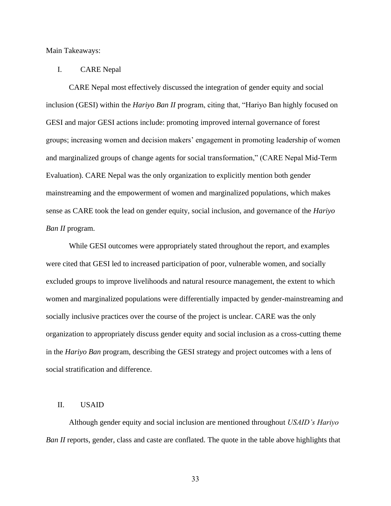<span id="page-40-0"></span>Main Takeaways:

## <span id="page-40-1"></span>I. CARE Nepal

CARE Nepal most effectively discussed the integration of gender equity and social inclusion (GESI) within the *Hariyo Ban II* program, citing that, "Hariyo Ban highly focused on GESI and major GESI actions include: promoting improved internal governance of forest groups; increasing women and decision makers' engagement in promoting leadership of women and marginalized groups of change agents for social transformation," (CARE Nepal Mid-Term Evaluation). CARE Nepal was the only organization to explicitly mention both gender mainstreaming and the empowerment of women and marginalized populations, which makes sense as CARE took the lead on gender equity, social inclusion, and governance of the *Hariyo Ban II* program.

While GESI outcomes were appropriately stated throughout the report, and examples were cited that GESI led to increased participation of poor, vulnerable women, and socially excluded groups to improve livelihoods and natural resource management, the extent to which women and marginalized populations were differentially impacted by gender-mainstreaming and socially inclusive practices over the course of the project is unclear. CARE was the only organization to appropriately discuss gender equity and social inclusion as a cross-cutting theme in the *Hariyo Ban* program, describing the GESI strategy and project outcomes with a lens of social stratification and difference.

## <span id="page-40-2"></span>II. USAID

Although gender equity and social inclusion are mentioned throughout *USAID's Hariyo Ban II* reports, gender, class and caste are conflated. The quote in the table above highlights that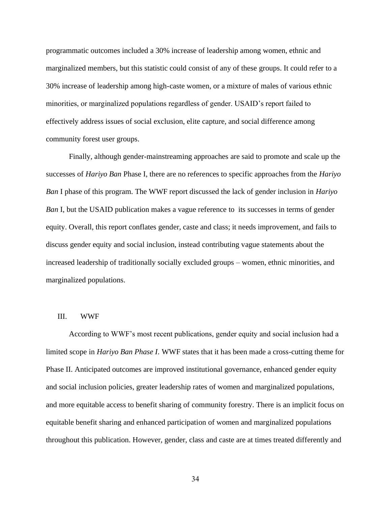programmatic outcomes included a 30% increase of leadership among women, ethnic and marginalized members, but this statistic could consist of any of these groups. It could refer to a 30% increase of leadership among high-caste women, or a mixture of males of various ethnic minorities, or marginalized populations regardless of gender. USAID's report failed to effectively address issues of social exclusion, elite capture, and social difference among community forest user groups.

Finally, although gender-mainstreaming approaches are said to promote and scale up the successes of *Hariyo Ban* Phase I, there are no references to specific approaches from the *Hariyo Ban* I phase of this program. The WWF report discussed the lack of gender inclusion in *Hariyo Ban* I, but the USAID publication makes a vague reference to its successes in terms of gender equity. Overall, this report conflates gender, caste and class; it needs improvement, and fails to discuss gender equity and social inclusion, instead contributing vague statements about the increased leadership of traditionally socially excluded groups – women, ethnic minorities, and marginalized populations.

## <span id="page-41-0"></span>III. WWF

According to WWF's most recent publications, gender equity and social inclusion had a limited scope in *Hariyo Ban Phase I*. WWF states that it has been made a cross-cutting theme for Phase II. Anticipated outcomes are improved institutional governance, enhanced gender equity and social inclusion policies, greater leadership rates of women and marginalized populations, and more equitable access to benefit sharing of community forestry. There is an implicit focus on equitable benefit sharing and enhanced participation of women and marginalized populations throughout this publication. However, gender, class and caste are at times treated differently and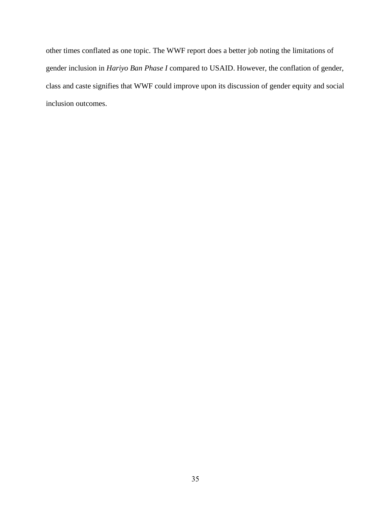other times conflated as one topic. The WWF report does a better job noting the limitations of gender inclusion in *Hariyo Ban Phase I* compared to USAID. However, the conflation of gender, class and caste signifies that WWF could improve upon its discussion of gender equity and social inclusion outcomes.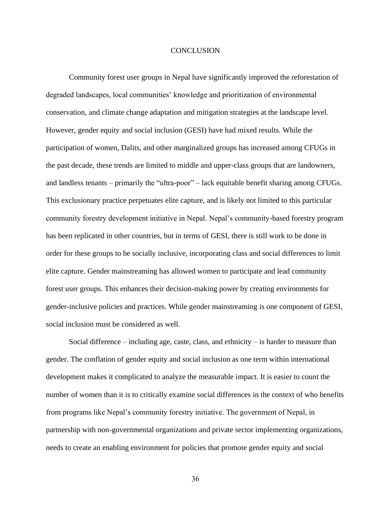## **CONCLUSION**

<span id="page-43-0"></span>Community forest user groups in Nepal have significantly improved the reforestation of degraded landscapes, local communities' knowledge and prioritization of environmental conservation, and climate change adaptation and mitigation strategies at the landscape level. However, gender equity and social inclusion (GESI) have had mixed results. While the participation of women, Dalits, and other marginalized groups has increased among CFUGs in the past decade, these trends are limited to middle and upper-class groups that are landowners, and landless tenants – primarily the "ultra-poor" – lack equitable benefit sharing among CFUGs. This exclusionary practice perpetuates elite capture, and is likely not limited to this particular community forestry development initiative in Nepal. Nepal's community-based forestry program has been replicated in other countries, but in terms of GESI, there is still work to be done in order for these groups to be socially inclusive, incorporating class and social differences to limit elite capture. Gender mainstreaming has allowed women to participate and lead community forest user groups. This enhances their decision-making power by creating environments for gender-inclusive policies and practices. While gender mainstreaming is one component of GESI, social inclusion must be considered as well.

Social difference – including age, caste, class, and ethnicity – is harder to measure than gender. The conflation of gender equity and social inclusion as one term within international development makes it complicated to analyze the measurable impact. It is easier to count the number of women than it is to critically examine social differences in the context of who benefits from programs like Nepal's community forestry initiative. The government of Nepal, in partnership with non-governmental organizations and private sector implementing organizations, needs to create an enabling environment for policies that promote gender equity and social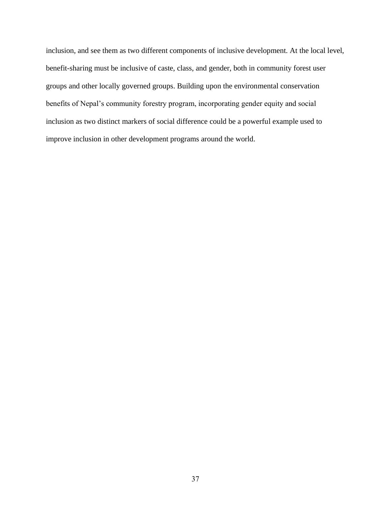inclusion, and see them as two different components of inclusive development. At the local level, benefit-sharing must be inclusive of caste, class, and gender, both in community forest user groups and other locally governed groups. Building upon the environmental conservation benefits of Nepal's community forestry program, incorporating gender equity and social inclusion as two distinct markers of social difference could be a powerful example used to improve inclusion in other development programs around the world.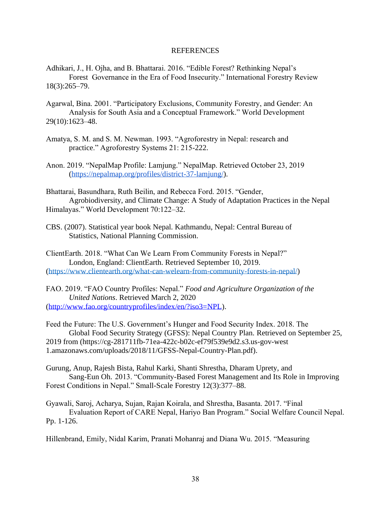## REFERENCES

<span id="page-45-0"></span>Adhikari, J., H. Ojha, and B. Bhattarai. 2016. "Edible Forest? Rethinking Nepal's Forest Governance in the Era of Food Insecurity." International Forestry Review 18(3):265–79.

- Agarwal, Bina. 2001. "Participatory Exclusions, Community Forestry, and Gender: An Analysis for South Asia and a Conceptual Framework." World Development 29(10):1623–48.
- Amatya, S. M. and S. M. Newman. 1993. "Agroforestry in Nepal: research and practice." Agroforestry Systems 21: 215-222.

Anon. 2019. "NepalMap Profile: Lamjung." NepalMap. Retrieved October 23, 2019 [\(https://nepalmap.org/profiles/district-37-lamjung/\)](https://nepalmap.org/profiles/district-37-lamjung/).

Bhattarai, Basundhara, Ruth Beilin, and Rebecca Ford. 2015. "Gender, Agrobiodiversity, and Climate Change: A Study of Adaptation Practices in the Nepal Himalayas." World Development 70:122–32.

CBS. (2007). Statistical year book Nepal. Kathmandu, Nepal: Central Bureau of Statistics, National Planning Commission.

ClientEarth. 2018. "What Can We Learn From Community Forests in Nepal?" London, England: ClientEarth. Retrieved September 10, 2019. [\(https://www.clientearth.org/what-can-welearn-from-community-forests-in-nepal/\)](https://www.clientearth.org/what-can-welearn-from-community-forests-in-nepal/)

FAO. 2019. "FAO Country Profiles: Nepal." *Food and Agriculture Organization of the United Nations*. Retrieved March 2, 2020 [\(http://www.fao.org/countryprofiles/index/en/?iso3=NPL\)](http://www.fao.org/countryprofiles/index/en/?iso3=NPL).

Feed the Future: The U.S. Government's Hunger and Food Security Index. 2018. The Global Food Security Strategy (GFSS): Nepal Country Plan. Retrieved on September 25, 2019 from (https://cg-281711fb-71ea-422c-b02c-ef79f539e9d2.s3.us-gov-west 1.amazonaws.com/uploads/2018/11/GFSS-Nepal-Country-Plan.pdf).

Gurung, Anup, Rajesh Bista, Rahul Karki, Shanti Shrestha, Dharam Uprety, and Sang-Eun Oh. 2013. "Community-Based Forest Management and Its Role in Improving Forest Conditions in Nepal." Small-Scale Forestry 12(3):377–88.

Gyawali, Saroj, Acharya, Sujan, Rajan Koirala, and Shrestha, Basanta. 2017. "Final Evaluation Report of CARE Nepal, Hariyo Ban Program." Social Welfare Council Nepal. Pp. 1-126.

Hillenbrand, Emily, Nidal Karim, Pranati Mohanraj and Diana Wu. 2015. "Measuring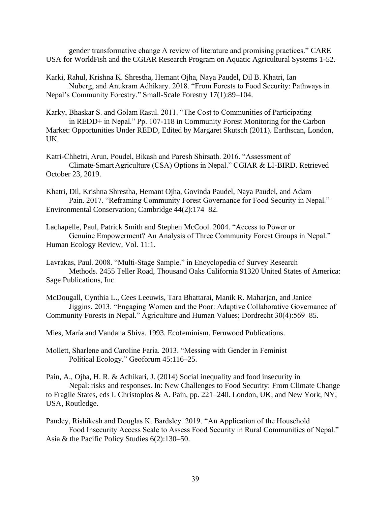gender transformative change A review of literature and promising practices." CARE USA for WorldFish and the CGIAR Research Program on Aquatic Agricultural Systems 1-52.

Karki, Rahul, Krishna K. Shrestha, Hemant Ojha, Naya Paudel, Dil B. Khatri, Ian Nuberg, and Anukram Adhikary. 2018. "From Forests to Food Security: Pathways in Nepal's Community Forestry." Small-Scale Forestry 17(1):89–104.

Karky, Bhaskar S. and Golam Rasul. 2011. "The Cost to Communities of Participating in REDD+ in Nepal." Pp. 107-118 in Community Forest Monitoring for the Carbon Market: Opportunities Under REDD, Edited by Margaret Skutsch (2011). Earthscan, London, UK.

Katri-Chhetri, Arun, Poudel, Bikash and Paresh Shirsath. 2016. "Assessment of Climate-SmartAgriculture (CSA) Options in Nepal." CGIAR & LI-BIRD. Retrieved October 23, 2019.

Khatri, Dil, Krishna Shrestha, Hemant Ojha, Govinda Paudel, Naya Paudel, and Adam Pain. 2017. "Reframing Community Forest Governance for Food Security in Nepal." Environmental Conservation; Cambridge 44(2):174–82.

Lachapelle, Paul, Patrick Smith and Stephen McCool. 2004. "Access to Power or Genuine Empowerment? An Analysis of Three Community Forest Groups in Nepal." Human Ecology Review, Vol. 11:1.

McDougall, Cynthia L., Cees Leeuwis, Tara Bhattarai, Manik R. Maharjan, and Janice Jiggins. 2013. "Engaging Women and the Poor: Adaptive Collaborative Governance of Community Forests in Nepal." Agriculture and Human Values; Dordrecht 30(4):569–85.

Mies, María and Vandana Shiva. 1993. Ecofeminism. Fernwood Publications.

Mollett, Sharlene and Caroline Faria. 2013. "Messing with Gender in Feminist Political Ecology." Geoforum 45:116–25.

Pain, A., Ojha, H. R. & Adhikari, J. (2014) Social inequality and food insecurity in Nepal: risks and responses. In: New Challenges to Food Security: From Climate Change to Fragile States, eds I. Christoplos & A. Pain, pp. 221–240. London, UK, and New York, NY, USA, Routledge.

Pandey, Rishikesh and Douglas K. Bardsley. 2019. "An Application of the Household Food Insecurity Access Scale to Assess Food Security in Rural Communities of Nepal." Asia & the Pacific Policy Studies 6(2):130–50.

Lavrakas, Paul. 2008. "Multi-Stage Sample." in Encyclopedia of Survey Research Methods. 2455 Teller Road, Thousand Oaks California 91320 United States of America: Sage Publications, Inc.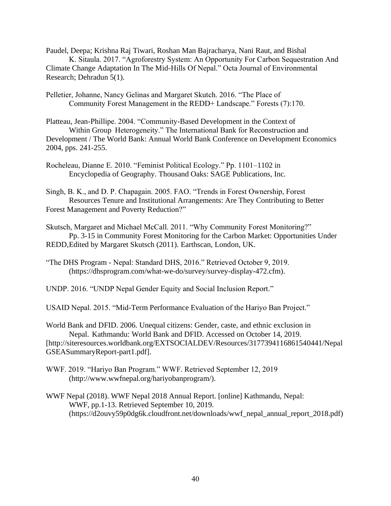Paudel, Deepa; Krishna Raj Tiwari, Roshan Man Bajracharya, Nani Raut, and Bishal K. Sitaula. 2017. "Agroforestry System: An Opportunity For Carbon Sequestration And Climate Change Adaptation In The Mid-Hills Of Nepal." Octa Journal of Environmental

Research; Dehradun 5(1).

Pelletier, Johanne, Nancy Gelinas and Margaret Skutch. 2016. "The Place of Community Forest Management in the REDD+ Landscape." Forests (7):170.

Platteau, Jean-Phillipe. 2004. "Community-Based Development in the Context of Within Group Heterogeneity." The International Bank for Reconstruction and Development / The World Bank: Annual World Bank Conference on Development Economics 2004, pps. 241-255.

Rocheleau, Dianne E. 2010. "Feminist Political Ecology." Pp. 1101–1102 in Encyclopedia of Geography. Thousand Oaks: SAGE Publications, Inc.

Singh, B. K., and D. P. Chapagain. 2005. FAO. "Trends in Forest Ownership, Forest Resources Tenure and Institutional Arrangements: Are They Contributing to Better Forest Management and Poverty Reduction?"

Skutsch, Margaret and Michael McCall. 2011. "Why Community Forest Monitoring?" Pp. 3-15 in Community Forest Monitoring for the Carbon Market: Opportunities Under REDD,Edited by Margaret Skutsch (2011). Earthscan, London, UK.

"The DHS Program - Nepal: Standard DHS, 2016." Retrieved October 9, 2019. (https://dhsprogram.com/what-we-do/survey/survey-display-472.cfm).

UNDP. 2016. "UNDP Nepal Gender Equity and Social Inclusion Report."

USAID Nepal. 2015. "Mid-Term Performance Evaluation of the Hariyo Ban Project."

World Bank and DFID. 2006. Unequal citizens: Gender, caste, and ethnic exclusion in Nepal. Kathmandu: World Bank and DFID. Accessed on October 14, 2019. [http://siteresources.worldbank.org/EXTSOCIALDEV/Resources/3177394116861540441/Nepal GSEASummaryReport-part1.pdf].

- WWF. 2019. "Hariyo Ban Program." WWF. Retrieved September 12, 2019 (http://www.wwfnepal.org/hariyobanprogram/).
- WWF Nepal (2018). WWF Nepal 2018 Annual Report. [online] Kathmandu, Nepal: WWF, pp.1-13. Retrieved September 10, 2019. (https://d2ouvy59p0dg6k.cloudfront.net/downloads/wwf\_nepal\_annual\_report\_2018.pdf)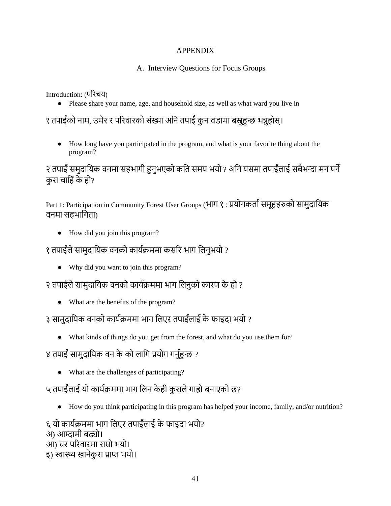## APPENDIX

## A. Interview Questions for Focus Groups

<span id="page-48-0"></span>Introduction: (परिचय)

● Please share your name, age, and household size, as well as what ward you live in

# १ तपाईंको नाम, उमेर र परिवारको संख्या अनि तपाईं कुन वडामा बस्नुहुन्छ भन्नुहोस्।

● How long have you participated in the program, and what is your favorite thing about the program?

२ तपाईं समुदायिक वनमा सहभागी हुनुभएको कति समय भयो ? अनि यसमा तपाईंलाई सबैभन्दा मन पर्ने करा चाहिं के हो?

Part 1: Participation in Community Forest User Groups (भाग १ : प्रयोगकर्ता समूहहरुको सामुदायिक वनमा सहभागिता)

● How did you join this program?

# १ तपाईंले सामुदायिक वनको कार्यक्रममा कसरि भाग लिनुभयो ?

● Why did you want to join this program?

२ तपाईंले सामुदायिक वनको कार्यक्रममा भाग लिनुको कारण के हो ?

● What are the benefits of the program?

# ३ सामुदानयक वनको कायाक्रममा भाग नलएि तपाईंलाई के फाइदा भयो ?

● What kinds of things do you get from the forest, and what do you use them for?

# ४ तपाईं सामुदायिक वन के को लागि प्रयोग गर्नुहुन्छ ?

● What are the challenges of participating?

# ५ तपाईँ लाई यो कार्यक्रममा भाग लिन केही कुराले गाह्रो बनाएको छ?

● How do you think participating in this program has helped your income, family, and/or nutrition?

६ यो कायाक्रममा भाग नलएि तपाईंलाई के फाइदा भयो? अ) आम्दामी बढ्यो। आ) घर परिवारमा राम्रो भयो। इ) स्वास्थ्य खानेकुरा प्राप्त भयो।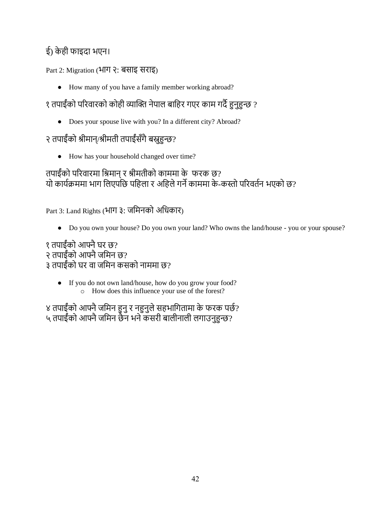# ई) के ही फाइदा भएन।

## Part 2: Migration (भाग २: बसाइ सिाइ)

● How many of you have a family member working abroad?

१ तपाईंको परिवारको कोही व्याक्ति नेपाल बाहिर गएर काम गर्दै हुनुहुन्छ ?

• Does your spouse live with you? In a different city? Abroad?

# २ तपाईंको श्रीमान्/श्रीमती तपाईंसँगैबस्नुहुन्छ?

● How has your household changed over time?

# तपाईँको परिवारमा श्रिमान् र श्रीमतीको काममा के फरक छ? यो कार्यक्रममा भाग लिएपछि पहिला र अहिले गर्ने काममा के-कस्तो परिवर्तन भएको छ?

Part 3: Land Rights (भाग ३: जमिनको अधिकार)

● Do you own your house? Do you own your land? Who owns the land/house - you or your spouse?

१ तपाईंको आफ्नै घर छ? २ तपाईंको आफ्नै जमिन छ? ३ तपाईंको घर वा जमिन कसको नाममा छ?

● If you do not own land/house, how do you grow your food? o How does this influence your use of the forest?

४ तपाईंको आफ्नै जमिन हुनु र नहुनुले सहभागितामा के फरक पछे? ५ तपाईंको आफ्नै जमिन छैन भने कसरी बालीनाली लगाउनुहुन्छ?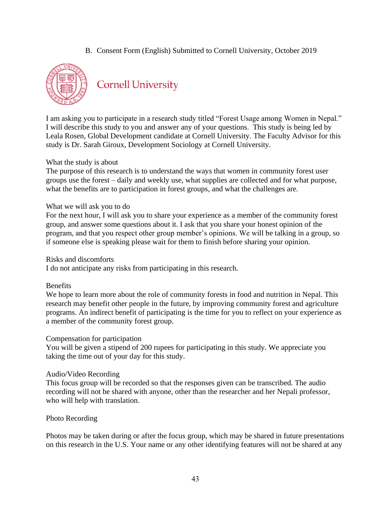B. Consent Form (English) Submitted to Cornell University, October 2019



**Cornell University** 

I am asking you to participate in a research study titled "Forest Usage among Women in Nepal." I will describe this study to you and answer any of your questions. This study is being led by Leala Rosen, Global Development candidate at Cornell University. The Faculty Advisor for this study is Dr. Sarah Giroux, Development Sociology at Cornell University.

## What the study is about

The purpose of this research is to understand the ways that women in community forest user groups use the forest – daily and weekly use, what supplies are collected and for what purpose, what the benefits are to participation in forest groups, and what the challenges are.

## What we will ask you to do

For the next hour, I will ask you to share your experience as a member of the community forest group, and answer some questions about it. I ask that you share your honest opinion of the program, and that you respect other group member's opinions. We will be talking in a group, so if someone else is speaking please wait for them to finish before sharing your opinion.

Risks and discomforts

I do not anticipate any risks from participating in this research.

## Benefits

We hope to learn more about the role of community forests in food and nutrition in Nepal. This research may benefit other people in the future, by improving community forest and agriculture programs. An indirect benefit of participating is the time for you to reflect on your experience as a member of the community forest group.

## Compensation for participation

You will be given a stipend of 200 rupees for participating in this study. We appreciate you taking the time out of your day for this study.

## Audio/Video Recording

This focus group will be recorded so that the responses given can be transcribed. The audio recording will not be shared with anyone, other than the researcher and her Nepali professor, who will help with translation.

## Photo Recording

Photos may be taken during or after the focus group, which may be shared in future presentations on this research in the U.S. Your name or any other identifying features will not be shared at any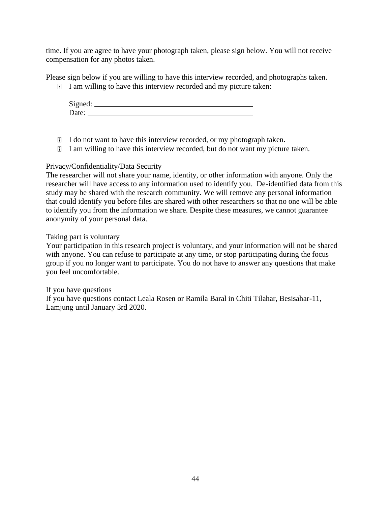time. If you are agree to have your photograph taken, please sign below. You will not receive compensation for any photos taken.

Please sign below if you are willing to have this interview recorded, and photographs taken.

I am willing to have this interview recorded and my picture taken:

Signed: Date:

- I do not want to have this interview recorded, or my photograph taken.
- I am willing to have this interview recorded, but do not want my picture taken.

## Privacy/Confidentiality/Data Security

The researcher will not share your name, identity, or other information with anyone. Only the researcher will have access to any information used to identify you. De-identified data from this study may be shared with the research community. We will remove any personal information that could identify you before files are shared with other researchers so that no one will be able to identify you from the information we share. Despite these measures, we cannot guarantee anonymity of your personal data.

## Taking part is voluntary

Your participation in this research project is voluntary, and your information will not be shared with anyone. You can refuse to participate at any time, or stop participating during the focus group if you no longer want to participate. You do not have to answer any questions that make you feel uncomfortable.

If you have questions If you have questions contact Leala Rosen or Ramila Baral in Chiti Tilahar, Besisahar-11, Lamjung until January 3rd 2020.